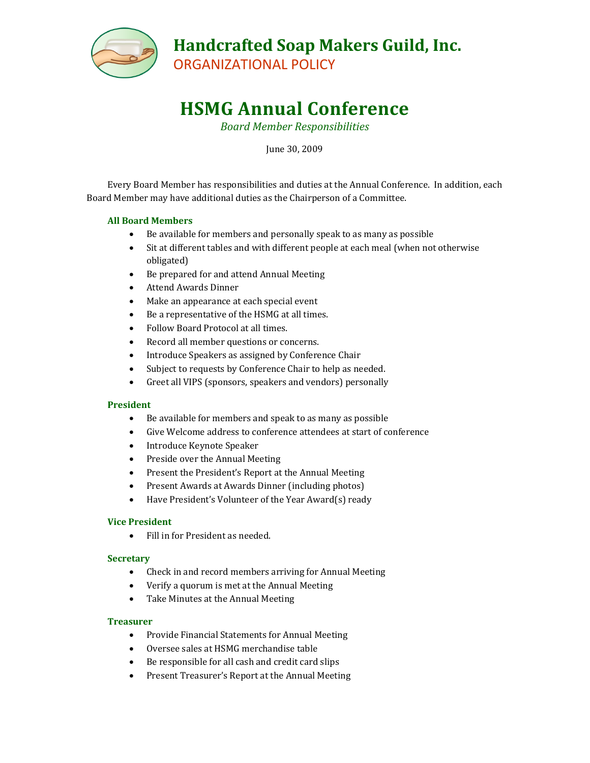

ORGANIZATIONAL POLICY

# **HSMG Annual Conference**

*Board Member Responsibilities*

June 30, 2009

Every Board Member has responsibilities and duties at the Annual Conference. In addition, each Board Member may have additional duties as the Chairperson of a Committee.

## **All Board Members**

- Be available for members and personally speak to as many as possible
- Sit at different tables and with different people at each meal (when not otherwise obligated)
- Be prepared for and attend Annual Meeting
- Attend Awards Dinner
- Make an appearance at each special event
- Be a representative of the HSMG at all times.
- Follow Board Protocol at all times.
- Record all member questions or concerns.
- Introduce Speakers as assigned by Conference Chair
- Subject to requests by Conference Chair to help as needed.
- Greet all VIPS (sponsors, speakers and vendors) personally

## **President**

- Be available for members and speak to as many as possible
- Give Welcome address to conference attendees at start of conference
- Introduce Keynote Speaker
- Preside over the Annual Meeting
- Present the President's Report at the Annual Meeting
- Present Awards at Awards Dinner (including photos)
- Have President's Volunteer of the Year Award(s) ready

## **Vice President**

Fill in for President as needed.

## **Secretary**

- Check in and record members arriving for Annual Meeting
- Verify a quorum is met at the Annual Meeting
- Take Minutes at the Annual Meeting

## **Treasurer**

- Provide Financial Statements for Annual Meeting
- Oversee sales at HSMG merchandise table
- Be responsible for all cash and credit card slips
- Present Treasurer's Report at the Annual Meeting